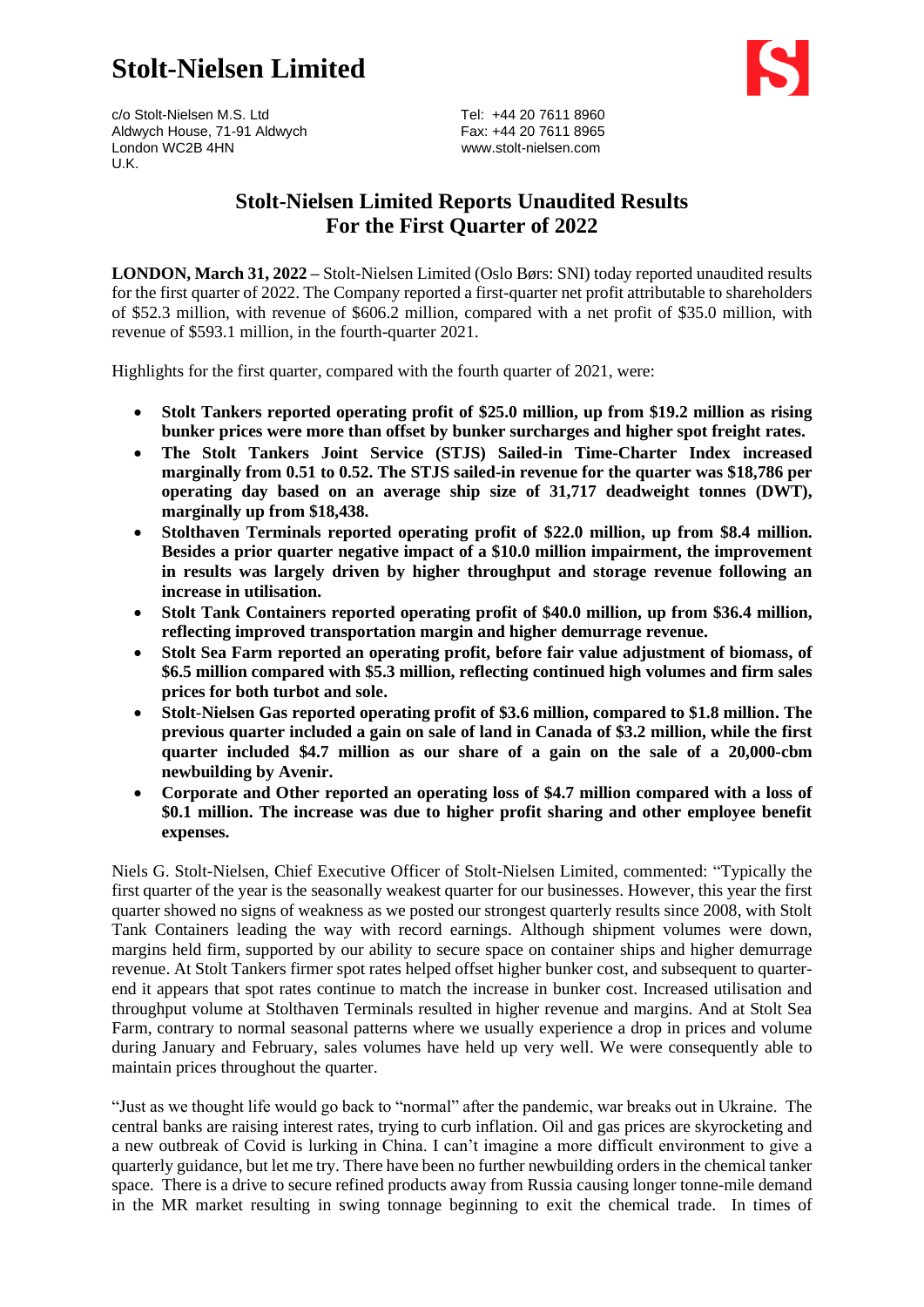# **Stolt-Nielsen Limited**



c/o Stolt-Nielsen M.S. Ltd Tel: +44 20 7611 8960 Aldwych House, 71-91 Aldwych Fax: +44 20 7611 8965 London WC2B 4HN [www.stolt-nielsen.com](http://www.stolt-nielsen.com/) U.K.

## **Stolt-Nielsen Limited Reports Unaudited Results For the First Quarter of 2022**

**LONDON, March 31, 2022 –** Stolt-Nielsen Limited (Oslo Børs: SNI) today reported unaudited results for the first quarter of 2022. The Company reported a first-quarter net profit attributable to shareholders of \$52.3 million, with revenue of \$606.2 million, compared with a net profit of \$35.0 million, with revenue of \$593.1 million, in the fourth-quarter 2021.

Highlights for the first quarter, compared with the fourth quarter of 2021, were:

- **Stolt Tankers reported operating profit of \$25.0 million, up from \$19.2 million as rising bunker prices were more than offset by bunker surcharges and higher spot freight rates.**
- **The Stolt Tankers Joint Service (STJS) Sailed-in Time-Charter Index increased marginally from 0.51 to 0.52. The STJS sailed-in revenue for the quarter was \$18,786 per operating day based on an average ship size of 31,717 deadweight tonnes (DWT), marginally up from \$18,438.**
- **Stolthaven Terminals reported operating profit of \$22.0 million, up from \$8.4 million. Besides a prior quarter negative impact of a \$10.0 million impairment, the improvement in results was largely driven by higher throughput and storage revenue following an increase in utilisation.**
- **Stolt Tank Containers reported operating profit of \$40.0 million, up from \$36.4 million, reflecting improved transportation margin and higher demurrage revenue.**
- **Stolt Sea Farm reported an operating profit, before fair value adjustment of biomass, of \$6.5 million compared with \$5.3 million, reflecting continued high volumes and firm sales prices for both turbot and sole.**
- **Stolt-Nielsen Gas reported operating profit of \$3.6 million, compared to \$1.8 million. The previous quarter included a gain on sale of land in Canada of \$3.2 million, while the first quarter included \$4.7 million as our share of a gain on the sale of a 20,000-cbm newbuilding by Avenir.**
- **Corporate and Other reported an operating loss of \$4.7 million compared with a loss of \$0.1 million. The increase was due to higher profit sharing and other employee benefit expenses.**

Niels G. Stolt-Nielsen, Chief Executive Officer of Stolt-Nielsen Limited, commented: "Typically the first quarter of the year is the seasonally weakest quarter for our businesses. However, this year the first quarter showed no signs of weakness as we posted our strongest quarterly results since 2008, with Stolt Tank Containers leading the way with record earnings. Although shipment volumes were down, margins held firm, supported by our ability to secure space on container ships and higher demurrage revenue. At Stolt Tankers firmer spot rates helped offset higher bunker cost, and subsequent to quarterend it appears that spot rates continue to match the increase in bunker cost. Increased utilisation and throughput volume at Stolthaven Terminals resulted in higher revenue and margins. And at Stolt Sea Farm, contrary to normal seasonal patterns where we usually experience a drop in prices and volume during January and February, sales volumes have held up very well. We were consequently able to maintain prices throughout the quarter.

"Just as we thought life would go back to "normal" after the pandemic, war breaks out in Ukraine. The central banks are raising interest rates, trying to curb inflation. Oil and gas prices are skyrocketing and a new outbreak of Covid is lurking in China. I can't imagine a more difficult environment to give a quarterly guidance, but let me try. There have been no further newbuilding orders in the chemical tanker space. There is a drive to secure refined products away from Russia causing longer tonne-mile demand in the MR market resulting in swing tonnage beginning to exit the chemical trade. In times of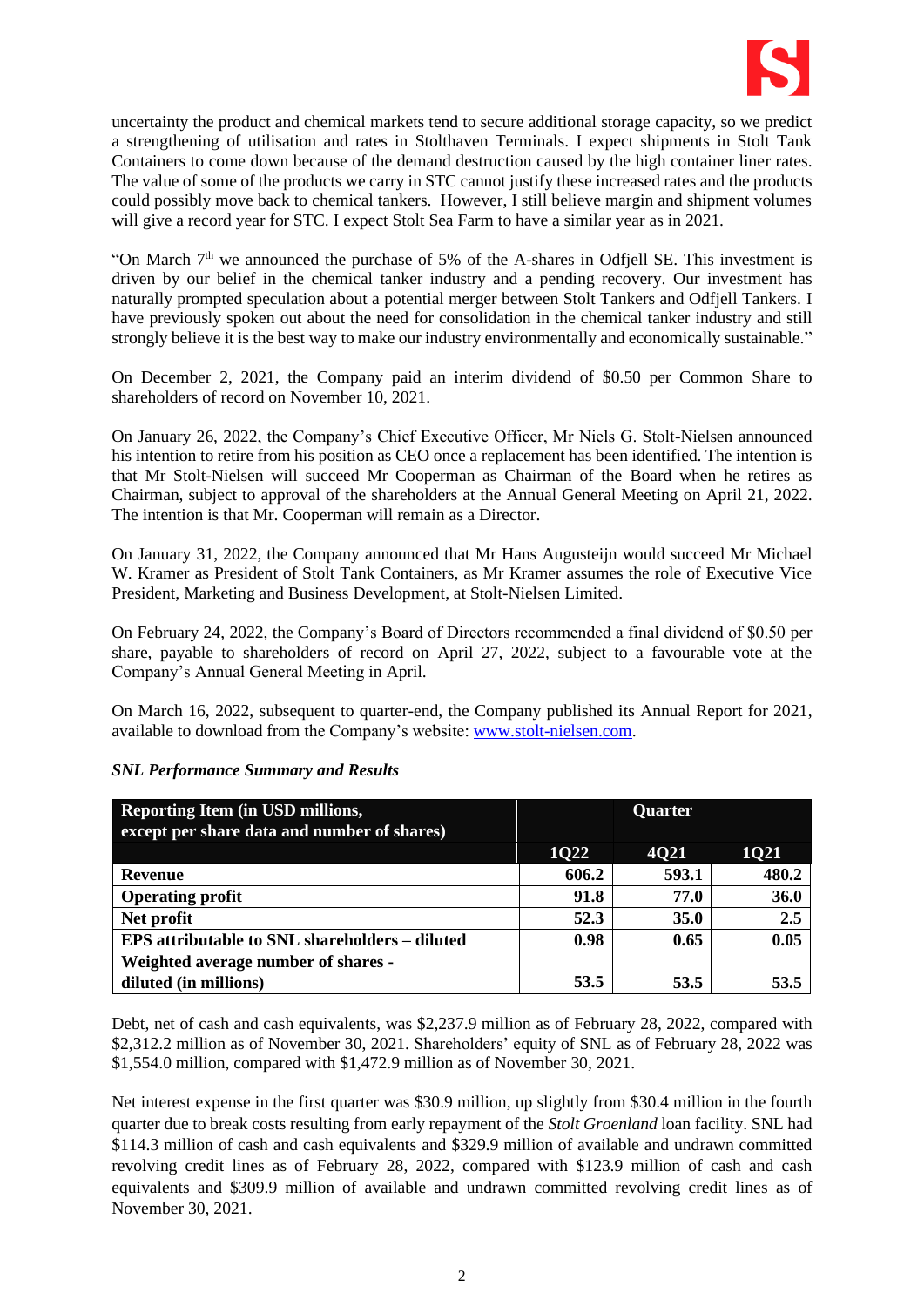

uncertainty the product and chemical markets tend to secure additional storage capacity, so we predict a strengthening of utilisation and rates in Stolthaven Terminals. I expect shipments in Stolt Tank Containers to come down because of the demand destruction caused by the high container liner rates. The value of some of the products we carry in STC cannot justify these increased rates and the products could possibly move back to chemical tankers. However, I still believe margin and shipment volumes will give a record year for STC. I expect Stolt Sea Farm to have a similar year as in 2021.

"On March  $7<sup>th</sup>$  we announced the purchase of 5% of the A-shares in Odfjell SE. This investment is driven by our belief in the chemical tanker industry and a pending recovery. Our investment has naturally prompted speculation about a potential merger between Stolt Tankers and Odfjell Tankers. I have previously spoken out about the need for consolidation in the chemical tanker industry and still strongly believe it is the best way to make our industry environmentally and economically sustainable."

On December 2, 2021, the Company paid an interim dividend of \$0.50 per Common Share to shareholders of record on November 10, 2021.

On January 26, 2022, the Company's Chief Executive Officer, Mr Niels G. Stolt-Nielsen announced his intention to retire from his position as CEO once a replacement has been identified. The intention is that Mr Stolt-Nielsen will succeed Mr Cooperman as Chairman of the Board when he retires as Chairman, subject to approval of the shareholders at the Annual General Meeting on April 21, 2022. The intention is that Mr. Cooperman will remain as a Director.

On January 31, 2022, the Company announced that Mr Hans Augusteijn would succeed Mr Michael W. Kramer as President of Stolt Tank Containers, as Mr Kramer assumes the role of Executive Vice President, Marketing and Business Development, at Stolt-Nielsen Limited.

On February 24, 2022, the Company's Board of Directors recommended a final dividend of \$0.50 per share, payable to shareholders of record on April 27, 2022, subject to a favourable vote at the Company's Annual General Meeting in April.

On March 16, 2022, subsequent to quarter-end, the Company published its Annual Report for 2021, available to download from the Company's website: [www.stolt-nielsen.com.](http://www.stolt-nielsen.com/)

| Reporting Item (in USD millions,<br>except per share data and number of shares) |             | Quarter     |             |
|---------------------------------------------------------------------------------|-------------|-------------|-------------|
|                                                                                 | <b>1022</b> | <b>4021</b> | <b>1021</b> |
| <b>Revenue</b>                                                                  | 606.2       | 593.1       | 480.2       |
| <b>Operating profit</b>                                                         | 91.8        | 77.0        | 36.0        |
| Net profit                                                                      | 52.3        | 35.0        | 2.5         |
| EPS attributable to SNL shareholders – diluted                                  | 0.98        | 0.65        | 0.05        |
| Weighted average number of shares -                                             |             |             |             |
| diluted (in millions)                                                           | 53.5        | 53.5        | 53.5        |

#### *SNL Performance Summary and Results*

Debt, net of cash and cash equivalents, was \$2,237.9 million as of February 28, 2022, compared with \$2,312.2 million as of November 30, 2021. Shareholders' equity of SNL as of February 28, 2022 was \$1,554.0 million, compared with \$1,472.9 million as of November 30, 2021.

Net interest expense in the first quarter was \$30.9 million, up slightly from \$30.4 million in the fourth quarter due to break costs resulting from early repayment of the *Stolt Groenland* loan facility. SNL had \$114.3 million of cash and cash equivalents and \$329.9 million of available and undrawn committed revolving credit lines as of February 28, 2022, compared with \$123.9 million of cash and cash equivalents and \$309.9 million of available and undrawn committed revolving credit lines as of November 30, 2021.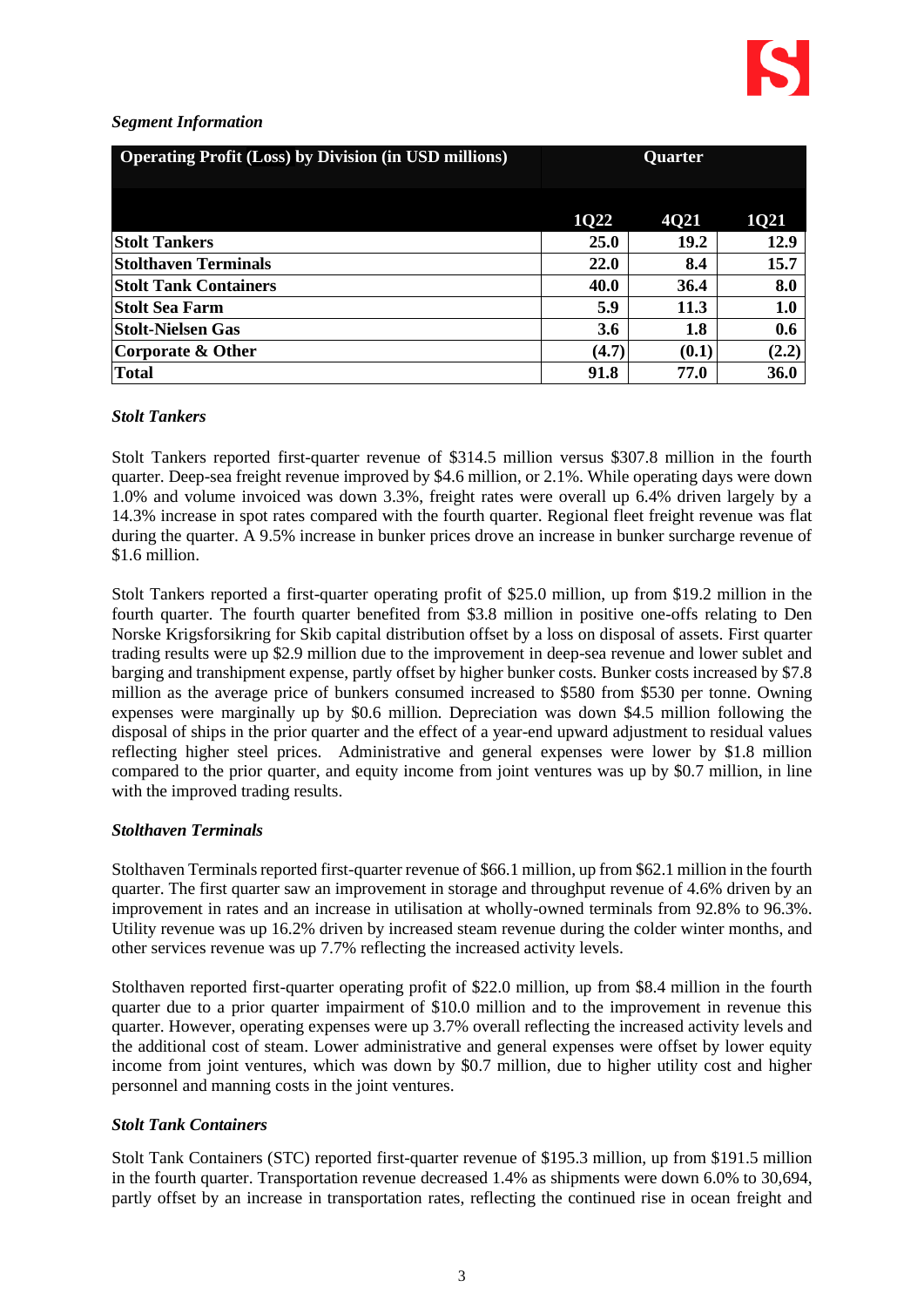#### *Segment Information*

| <b>Operating Profit (Loss) by Division (in USD millions)</b> | Quarter |             |             |
|--------------------------------------------------------------|---------|-------------|-------------|
|                                                              | 1Q22    | <b>4021</b> | <b>1Q21</b> |
| <b>Stolt Tankers</b>                                         | 25.0    | 19.2        | 12.9        |
| <b>Stolthaven Terminals</b>                                  | 22.0    | 8.4         | 15.7        |
| <b>Stolt Tank Containers</b>                                 | 40.0    | 36.4        | 8.0         |
| Stolt Sea Farm                                               | 5.9     | 11.3        | 1.0         |
| <b>Stolt-Nielsen Gas</b>                                     | 3.6     | 1.8         | 0.6         |
| Corporate & Other                                            | (4.7)   | (0.1)       | (2.2)       |
| <b>Total</b>                                                 | 91.8    | 77.0        | 36.0        |

#### *Stolt Tankers*

Stolt Tankers reported first-quarter revenue of \$314.5 million versus \$307.8 million in the fourth quarter. Deep-sea freight revenue improved by \$4.6 million, or 2.1%. While operating days were down 1.0% and volume invoiced was down 3.3%, freight rates were overall up 6.4% driven largely by a 14.3% increase in spot rates compared with the fourth quarter. Regional fleet freight revenue was flat during the quarter. A 9.5% increase in bunker prices drove an increase in bunker surcharge revenue of \$1.6 million.

Stolt Tankers reported a first-quarter operating profit of \$25.0 million, up from \$19.2 million in the fourth quarter. The fourth quarter benefited from \$3.8 million in positive one-offs relating to Den Norske Krigsforsikring for Skib capital distribution offset by a loss on disposal of assets. First quarter trading results were up \$2.9 million due to the improvement in deep-sea revenue and lower sublet and barging and transhipment expense, partly offset by higher bunker costs. Bunker costs increased by \$7.8 million as the average price of bunkers consumed increased to \$580 from \$530 per tonne. Owning expenses were marginally up by \$0.6 million. Depreciation was down \$4.5 million following the disposal of ships in the prior quarter and the effect of a year-end upward adjustment to residual values reflecting higher steel prices. Administrative and general expenses were lower by \$1.8 million compared to the prior quarter, and equity income from joint ventures was up by \$0.7 million, in line with the improved trading results.

#### *Stolthaven Terminals*

Stolthaven Terminals reported first-quarter revenue of \$66.1 million, up from \$62.1 million in the fourth quarter. The first quarter saw an improvement in storage and throughput revenue of 4.6% driven by an improvement in rates and an increase in utilisation at wholly-owned terminals from 92.8% to 96.3%. Utility revenue was up 16.2% driven by increased steam revenue during the colder winter months, and other services revenue was up 7.7% reflecting the increased activity levels.

Stolthaven reported first-quarter operating profit of \$22.0 million, up from \$8.4 million in the fourth quarter due to a prior quarter impairment of \$10.0 million and to the improvement in revenue this quarter. However, operating expenses were up 3.7% overall reflecting the increased activity levels and the additional cost of steam. Lower administrative and general expenses were offset by lower equity income from joint ventures, which was down by \$0.7 million, due to higher utility cost and higher personnel and manning costs in the joint ventures.

### *Stolt Tank Containers*

Stolt Tank Containers (STC) reported first-quarter revenue of \$195.3 million, up from \$191.5 million in the fourth quarter. Transportation revenue decreased 1.4% as shipments were down 6.0% to 30,694, partly offset by an increase in transportation rates, reflecting the continued rise in ocean freight and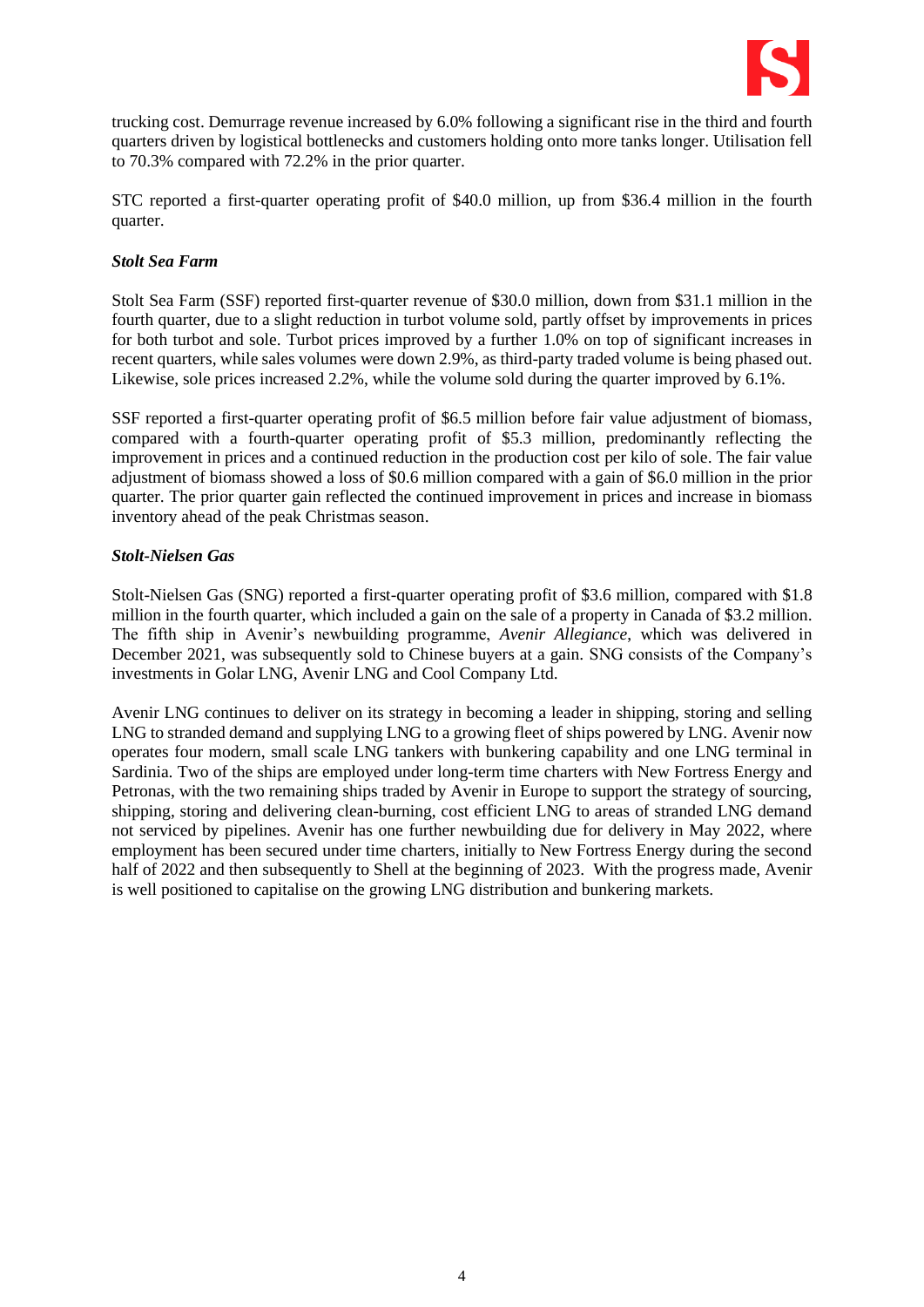

trucking cost. Demurrage revenue increased by 6.0% following a significant rise in the third and fourth quarters driven by logistical bottlenecks and customers holding onto more tanks longer. Utilisation fell to 70.3% compared with 72.2% in the prior quarter.

STC reported a first-quarter operating profit of \$40.0 million, up from \$36.4 million in the fourth quarter.

#### *Stolt Sea Farm*

Stolt Sea Farm (SSF) reported first-quarter revenue of \$30.0 million, down from \$31.1 million in the fourth quarter, due to a slight reduction in turbot volume sold, partly offset by improvements in prices for both turbot and sole. Turbot prices improved by a further 1.0% on top of significant increases in recent quarters, while sales volumes were down 2.9%, as third-party traded volume is being phased out. Likewise, sole prices increased 2.2%, while the volume sold during the quarter improved by 6.1%.

SSF reported a first-quarter operating profit of \$6.5 million before fair value adjustment of biomass, compared with a fourth-quarter operating profit of \$5.3 million, predominantly reflecting the improvement in prices and a continued reduction in the production cost per kilo of sole. The fair value adjustment of biomass showed a loss of \$0.6 million compared with a gain of \$6.0 million in the prior quarter. The prior quarter gain reflected the continued improvement in prices and increase in biomass inventory ahead of the peak Christmas season.

#### *Stolt-Nielsen Gas*

Stolt-Nielsen Gas (SNG) reported a first-quarter operating profit of \$3.6 million, compared with \$1.8 million in the fourth quarter, which included a gain on the sale of a property in Canada of \$3.2 million. The fifth ship in Avenir's newbuilding programme, *Avenir Allegiance*, which was delivered in December 2021, was subsequently sold to Chinese buyers at a gain. SNG consists of the Company's investments in Golar LNG, Avenir LNG and Cool Company Ltd.

Avenir LNG continues to deliver on its strategy in becoming a leader in shipping, storing and selling LNG to stranded demand and supplying LNG to a growing fleet of ships powered by LNG. Avenir now operates four modern, small scale LNG tankers with bunkering capability and one LNG terminal in Sardinia. Two of the ships are employed under long-term time charters with New Fortress Energy and Petronas, with the two remaining ships traded by Avenir in Europe to support the strategy of sourcing, shipping, storing and delivering clean-burning, cost efficient LNG to areas of stranded LNG demand not serviced by pipelines. Avenir has one further newbuilding due for delivery in May 2022, where employment has been secured under time charters, initially to New Fortress Energy during the second half of 2022 and then subsequently to Shell at the beginning of 2023. With the progress made, Avenir is well positioned to capitalise on the growing LNG distribution and bunkering markets.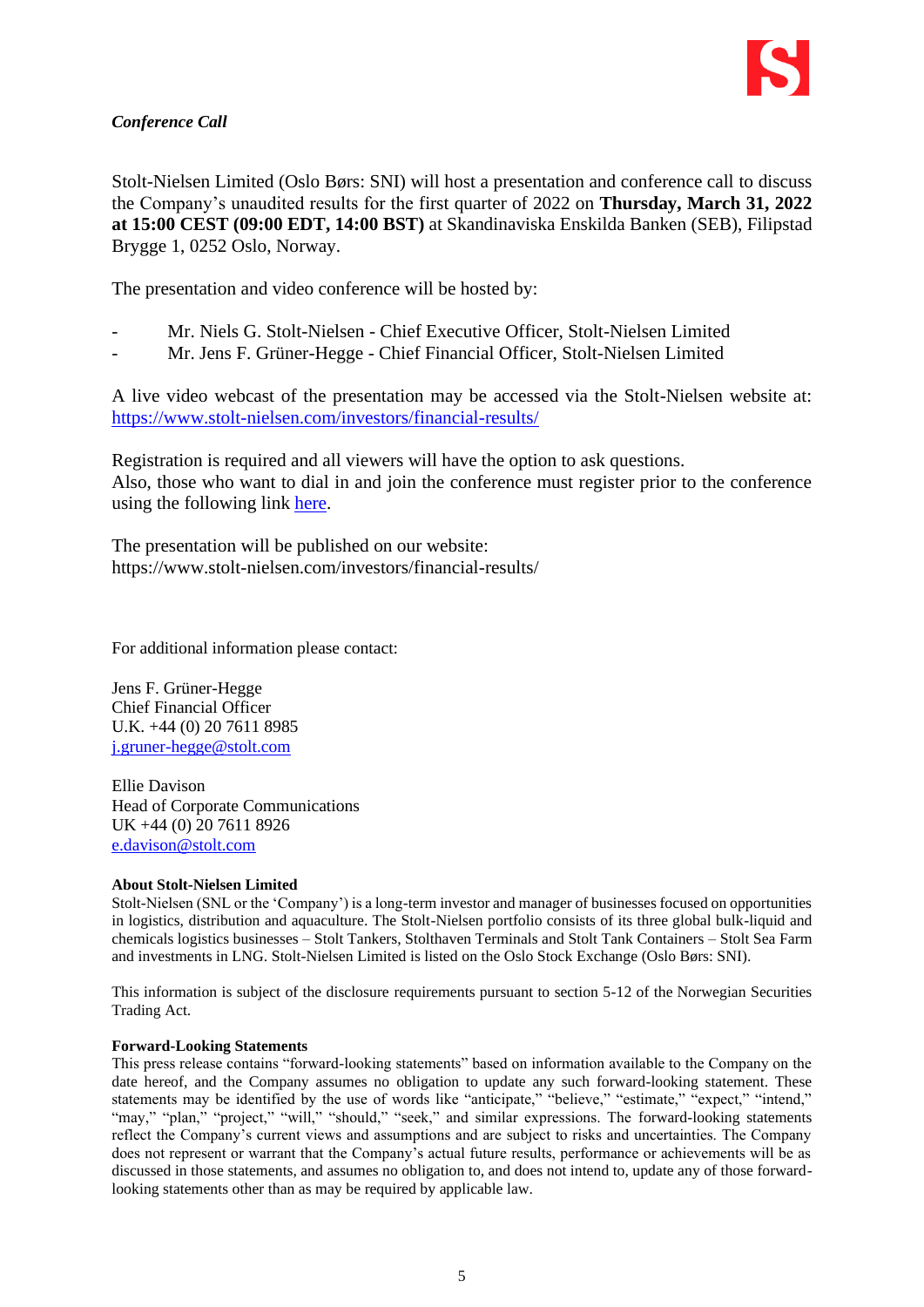## *Conference Call*

Stolt-Nielsen Limited (Oslo Børs: SNI) will host a presentation and conference call to discuss the Company's unaudited results for the first quarter of 2022 on **Thursday, March 31, 2022 at 15:00 CEST (09:00 EDT, 14:00 BST)** at Skandinaviska Enskilda Banken (SEB), Filipstad Brygge 1, 0252 Oslo, Norway.

The presentation and video conference will be hosted by:

- Mr. Niels G. Stolt-Nielsen Chief Executive Officer, Stolt-Nielsen Limited
- Mr. Jens F. Grüner-Hegge Chief Financial Officer, Stolt-Nielsen Limited

A live video webcast of the presentation may be accessed via the Stolt-Nielsen website at: <https://www.stolt-nielsen.com/investors/financial-results/>

Registration is required and all viewers will have the option to ask questions. Also, those who want to dial in and join the conference must register prior to the conference using the following link [here.](https://event.loopup.com/SelfRegistration/registration.aspx?booking=18JuEQlppiHVE0Pjzrr5tGbwMFYv3J4RBaq5cyP6BQs=&b=2389e96d-457b-46a8-bebb-fec356d5b031)

The presentation will be published on our website: https://www.stolt-nielsen.com/investors/financial-results/

For additional information please contact:

Jens F. Grüner-Hegge Chief Financial Officer U.K. +44 (0) 20 7611 8985 [j.gruner-hegge@stolt.com](mailto:j.gruner-hegge@stolt.com)

Ellie Davison Head of Corporate Communications UK +44 (0) 20 7611 8926 [e.davison@stolt.com](mailto:e.davison@stolt.com)

#### **About Stolt-Nielsen Limited**

Stolt-Nielsen (SNL or the 'Company') is a long-term investor and manager of businesses focused on opportunities in logistics, distribution and aquaculture. The Stolt-Nielsen portfolio consists of its three global bulk-liquid and chemicals logistics businesses – Stolt Tankers, Stolthaven Terminals and Stolt Tank Containers – Stolt Sea Farm and investments in LNG. Stolt-Nielsen Limited is listed on the Oslo Stock Exchange (Oslo Børs: SNI).

This information is subject of the disclosure requirements pursuant to section 5-12 of the Norwegian Securities Trading Act.

#### **Forward-Looking Statements**

This press release contains "forward-looking statements" based on information available to the Company on the date hereof, and the Company assumes no obligation to update any such forward-looking statement. These statements may be identified by the use of words like "anticipate," "believe," "estimate," "expect," "intend," "may," "plan," "project," "will," "should," "seek," and similar expressions. The forward-looking statements reflect the Company's current views and assumptions and are subject to risks and uncertainties. The Company does not represent or warrant that the Company's actual future results, performance or achievements will be as discussed in those statements, and assumes no obligation to, and does not intend to, update any of those forwardlooking statements other than as may be required by applicable law.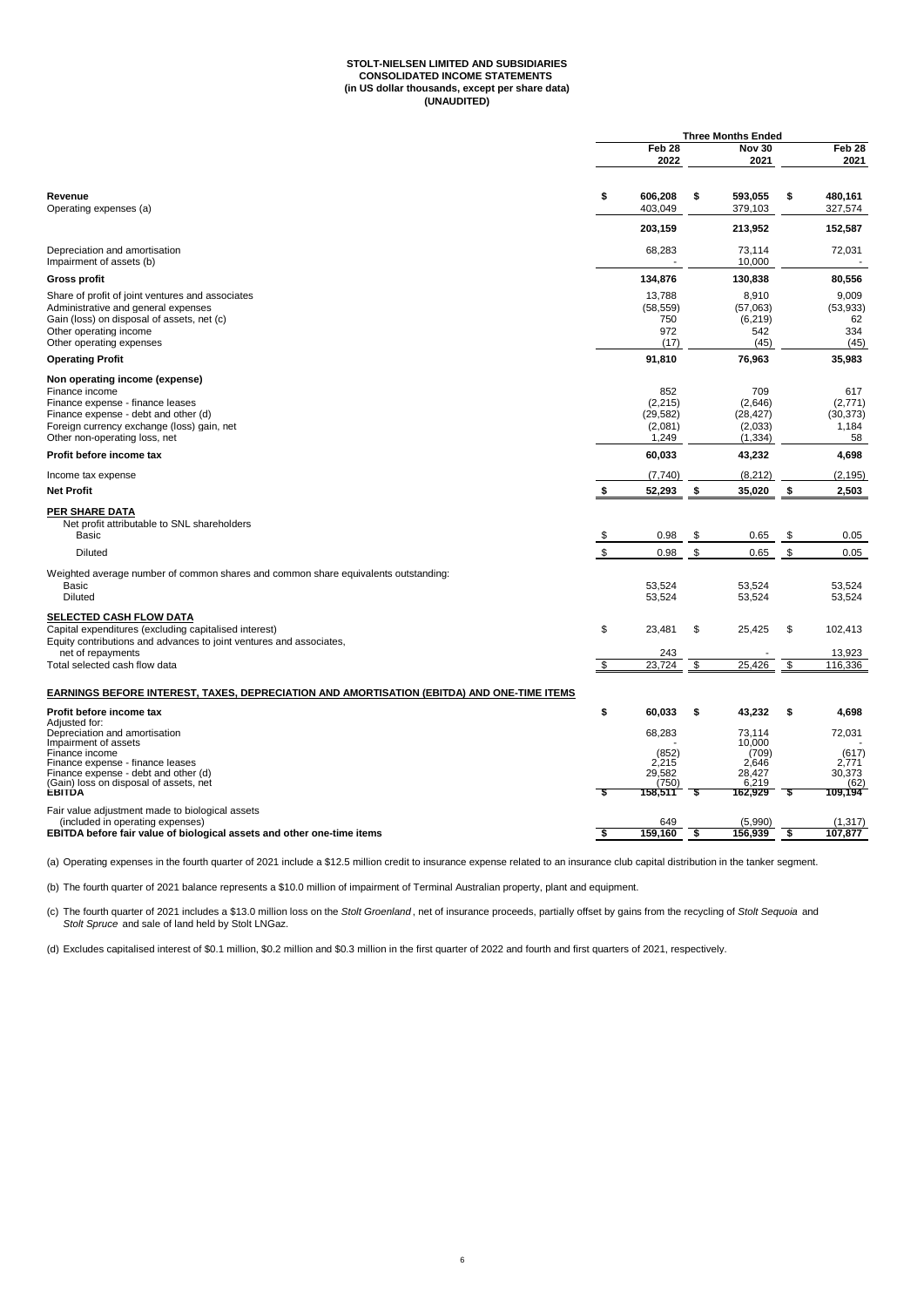## **STOLT-NIELSEN LIMITED AND SUBSIDIARIES CONSOLIDATED INCOME STATEMENTS (in US dollar thousands, except per share data) (UNAUDITED)**

|                                                                                                                                                                                                                | <b>Three Months Ended</b> |                                                        |     |                                                                  |    |                                                       |
|----------------------------------------------------------------------------------------------------------------------------------------------------------------------------------------------------------------|---------------------------|--------------------------------------------------------|-----|------------------------------------------------------------------|----|-------------------------------------------------------|
|                                                                                                                                                                                                                |                           | Feb <sub>28</sub><br>2022                              |     | <b>Nov 30</b><br>2021                                            |    | Feb <sub>28</sub><br>2021                             |
| Revenue<br>Operating expenses (a)                                                                                                                                                                              | \$                        | 606,208<br>403,049                                     | \$  | 593,055<br>379,103                                               | \$ | 480,161<br>327,574                                    |
|                                                                                                                                                                                                                |                           | 203,159                                                |     | 213,952                                                          |    | 152,587                                               |
| Depreciation and amortisation<br>Impairment of assets (b)                                                                                                                                                      |                           | 68,283                                                 |     | 73,114<br>10,000                                                 |    | 72,031                                                |
| <b>Gross profit</b>                                                                                                                                                                                            |                           | 134,876                                                |     | 130,838                                                          |    | 80,556                                                |
| Share of profit of joint ventures and associates<br>Administrative and general expenses<br>Gain (loss) on disposal of assets, net (c)<br>Other operating income<br>Other operating expenses                    |                           | 13,788<br>(58, 559)<br>750<br>972<br>(17)              |     | 8,910<br>(57,063)<br>(6, 219)<br>542<br>(45)                     |    | 9.009<br>(53, 933)<br>62<br>334<br>(45)               |
| <b>Operating Profit</b>                                                                                                                                                                                        |                           | 91,810                                                 |     | 76,963                                                           |    | 35,983                                                |
| Non operating income (expense)<br>Finance income<br>Finance expense - finance leases<br>Finance expense - debt and other (d)<br>Foreign currency exchange (loss) gain, net<br>Other non-operating loss, net    |                           | 852<br>(2, 215)<br>(29, 582)<br>(2,081)<br>1,249       |     | 709<br>(2,646)<br>(28, 427)<br>(2,033)<br>(1, 334)               |    | 617<br>(2,771)<br>(30, 373)<br>1.184<br>58            |
| Profit before income tax                                                                                                                                                                                       |                           | 60,033                                                 |     | 43,232                                                           |    | 4,698                                                 |
| Income tax expense                                                                                                                                                                                             |                           | (7, 740)                                               |     | (8, 212)                                                         |    | (2, 195)                                              |
| <b>Net Profit</b>                                                                                                                                                                                              | \$                        | 52,293                                                 | -\$ | 35,020                                                           | \$ | 2,503                                                 |
| <b>PER SHARE DATA</b><br>Net profit attributable to SNL shareholders                                                                                                                                           |                           |                                                        |     |                                                                  |    |                                                       |
| <b>Basic</b>                                                                                                                                                                                                   | $\frac{1}{2}$             | 0.98                                                   | \$  | 0.65                                                             | \$ | 0.05                                                  |
| <b>Diluted</b>                                                                                                                                                                                                 | \$                        | 0.98                                                   | \$  | 0.65                                                             | \$ | 0.05                                                  |
| Weighted average number of common shares and common share equivalents outstanding:<br>Basic<br><b>Diluted</b>                                                                                                  |                           | 53,524<br>53,524                                       |     | 53,524<br>53,524                                                 |    | 53.524<br>53,524                                      |
| SELECTED CASH FLOW DATA<br>Capital expenditures (excluding capitalised interest)<br>Equity contributions and advances to joint ventures and associates,                                                        | \$                        | 23,481                                                 | \$  | 25,425                                                           | \$ | 102,413                                               |
| net of repayments<br>Total selected cash flow data                                                                                                                                                             | \$                        | 243<br>23,724                                          | \$  | 25,426                                                           | \$ | 13,923<br>116,336                                     |
|                                                                                                                                                                                                                |                           |                                                        |     |                                                                  |    |                                                       |
| EARNINGS BEFORE INTEREST, TAXES, DEPRECIATION AND AMORTISATION (EBITDA) AND ONE-TIME ITEMS                                                                                                                     |                           |                                                        |     |                                                                  |    |                                                       |
| Profit before income tax<br>Adiusted for:                                                                                                                                                                      | \$                        | 60,033                                                 | \$  | 43,232                                                           | \$ | 4,698                                                 |
| Depreciation and amortisation<br>Impairment of assets<br>Finance income<br>Finance expense - finance leases<br>Finance expense - debt and other (d)<br>(Gain) loss on disposal of assets, net<br><b>EBITDA</b> | - 5                       | 68,283<br>(852)<br>2.215<br>29,582<br>(750)<br>158,511 | S   | 73.114<br>10,000<br>(709)<br>2.646<br>28,427<br>6,219<br>162,929 | \$ | 72,031<br>(617)<br>2.771<br>30,373<br>(62)<br>109,194 |
| Fair value adjustment made to biological assets                                                                                                                                                                |                           |                                                        |     |                                                                  |    |                                                       |
| (included in operating expenses)<br>EBITDA before fair value of biological assets and other one-time items                                                                                                     | -\$                       | 649<br>159,160                                         | -\$ | (5,990)<br>156,939                                               | \$ | (1, 317)<br>107,877                                   |

(a) Operating expenses in the fourth quarter of 2021 include a \$12.5 million credit to insurance expense related to an insurance club capital distribution in the tanker segment.

(b) The fourth quarter of 2021 balance represents a \$10.0 million of impairment of Terminal Australian property, plant and equipment.

(c) The fourth quarter of 2021 includes a \$13.0 million loss on the *Stolt Groenland* , net of insurance proceeds, partially offset by gains from the recycling of *Stolt Sequoia* and *Stolt Spruce* and sale of land held by Stolt LNGaz.

(d) Excludes capitalised interest of \$0.1 million, \$0.2 million and \$0.3 million in the first quarter of 2022 and fourth and first quarters of 2021, respectively.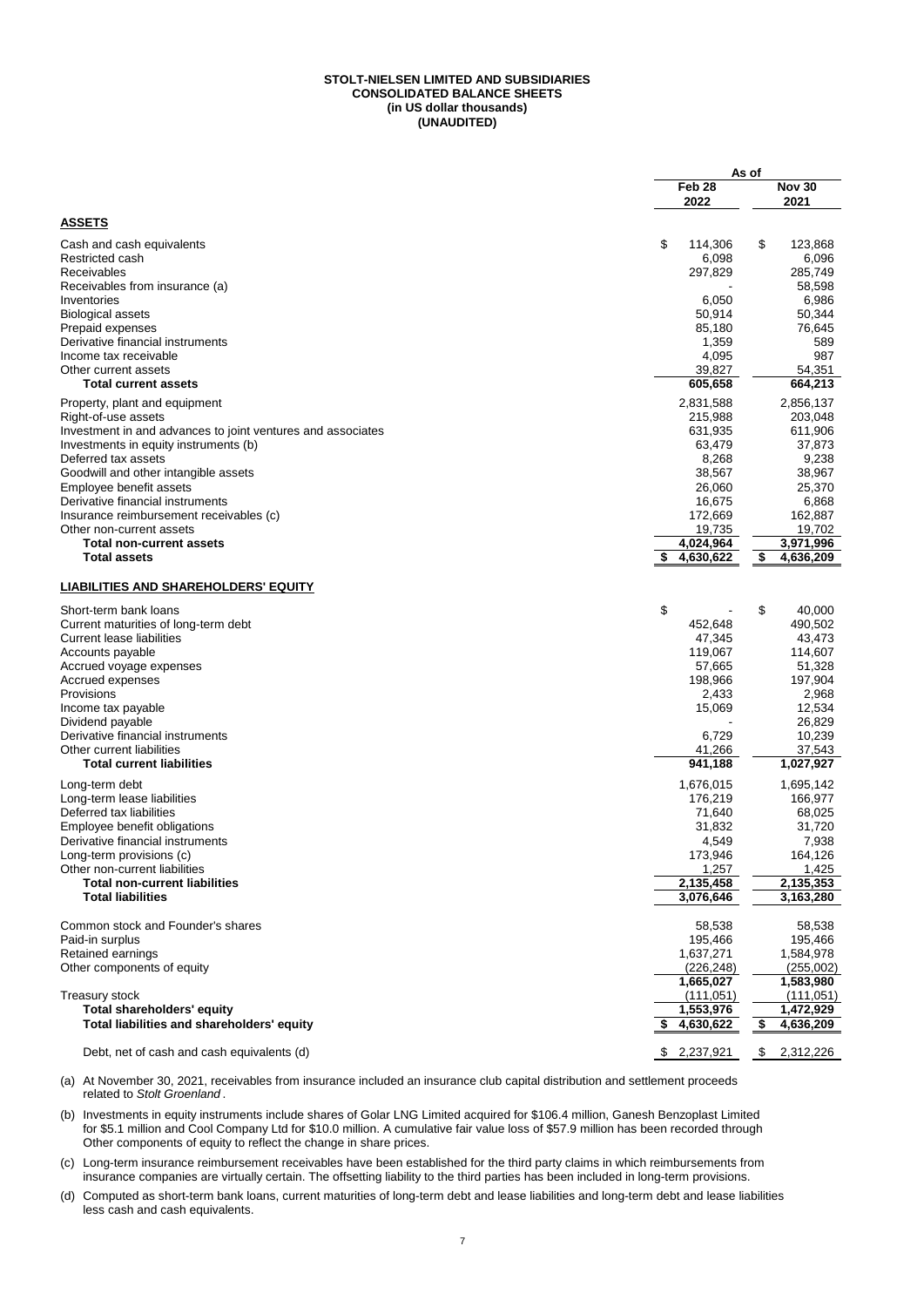#### **(UNAUDITED) STOLT-NIELSEN LIMITED AND SUBSIDIARIES CONSOLIDATED BALANCE SHEETS (in US dollar thousands)**

|                                                             | As of             |                 |
|-------------------------------------------------------------|-------------------|-----------------|
|                                                             | Feb <sub>28</sub> | <b>Nov 30</b>   |
|                                                             | 2022              | 2021            |
| <b>ASSETS</b>                                               |                   |                 |
| Cash and cash equivalents                                   | \$<br>114,306     | 123,868<br>\$   |
| Restricted cash                                             | 6,098             | 6,096           |
| Receivables                                                 | 297,829           | 285,749         |
| Receivables from insurance (a)                              |                   | 58,598          |
| Inventories                                                 | 6,050             | 6,986           |
| <b>Biological assets</b>                                    | 50,914            | 50,344          |
| Prepaid expenses                                            | 85,180            | 76,645          |
| Derivative financial instruments                            | 1,359             | 589             |
| Income tax receivable                                       | 4,095             | 987             |
| Other current assets                                        | 39.827            | 54,351          |
| <b>Total current assets</b>                                 | 605,658           | 664,213         |
| Property, plant and equipment                               | 2,831,588         | 2,856,137       |
| Right-of-use assets                                         | 215,988           | 203,048         |
| Investment in and advances to joint ventures and associates | 631,935           | 611,906         |
| Investments in equity instruments (b)                       | 63,479            | 37,873          |
| Deferred tax assets                                         | 8,268             | 9,238           |
| Goodwill and other intangible assets                        | 38,567            | 38,967          |
| Employee benefit assets                                     | 26,060            | 25,370          |
| Derivative financial instruments                            | 16,675            | 6,868           |
| Insurance reimbursement receivables (c)                     | 172,669           | 162,887         |
| Other non-current assets                                    | 19,735            | 19,702          |
| <b>Total non-current assets</b>                             | 4,024,964         | 3,971,996       |
| <b>Total assets</b>                                         | 4,630,622<br>S    | \$<br>4,636,209 |
| LIABILITIES AND SHAREHOLDERS' EQUITY                        |                   |                 |
| Short-term bank loans                                       | \$                | \$<br>40,000    |
| Current maturities of long-term debt                        | 452,648           | 490,502         |
| <b>Current lease liabilities</b>                            | 47,345            | 43,473          |
| Accounts payable                                            | 119,067           | 114,607         |
| Accrued voyage expenses                                     | 57,665            | 51,328          |
| Accrued expenses                                            | 198,966           | 197,904         |
| Provisions                                                  | 2,433             | 2,968           |
| Income tax payable                                          | 15,069            | 12,534          |
| Dividend payable                                            |                   | 26,829          |
| Derivative financial instruments                            | 6,729             | 10,239          |
| Other current liabilities                                   | 41,266            | 37,543          |
| <b>Total current liabilities</b>                            | 941,188           | 1,027,927       |
| Long-term debt                                              | 1,676,015         | 1,695,142       |
| Long-term lease liabilities                                 | 176,219           | 166,977         |
| Deferred tax liabilities                                    | 71,640            | 68,025          |
| Employee benefit obligations                                | 31,832            | 31,720          |
| Derivative financial instruments                            | 4,549             | 7,938           |
| Long-term provisions (c)                                    | 173,946           | 164,126         |
| Other non-current liabilities                               | 1,257             | 1,425           |
| <b>Total non-current liabilities</b>                        | 2,135,458         | 2,135,353       |
| <b>Total liabilities</b>                                    | 3,076,646         | 3,163,280       |
| Common stock and Founder's shares                           | 58,538            | 58,538          |
| Paid-in surplus                                             | 195,466           | 195,466         |
| Retained earnings                                           | 1,637,271         | 1,584,978       |
| Other components of equity                                  | (226, 248)        | (255,002)       |
|                                                             | 1,665,027         | 1,583,980       |
| Treasury stock                                              | (111, 051)        | (111, 051)      |
| <b>Total shareholders' equity</b>                           | 1,553,976         | 1,472,929       |
| Total liabilities and shareholders' equity                  | 4,630,622         | 4,636,209<br>\$ |
| Debt, net of cash and cash equivalents (d)                  | \$2,237,921       | 2,312,226<br>\$ |

(a) At November 30, 2021, receivables from insurance included an insurance club capital distribution and settlement proceeds related to *Stolt Groenland* .

(b) Investments in equity instruments include shares of Golar LNG Limited acquired for \$106.4 million, Ganesh Benzoplast Limited for \$5.1 million and Cool Company Ltd for \$10.0 million. A cumulative fair value loss of \$57.9 million has been recorded through Other components of equity to reflect the change in share prices.

(c) Long-term insurance reimbursement receivables have been established for the third party claims in which reimbursements from insurance companies are virtually certain. The offsetting liability to the third parties has been included in long-term provisions.

(d) Computed as short-term bank loans, current maturities of long-term debt and lease liabilities and long-term debt and lease liabilities less cash and cash equivalents.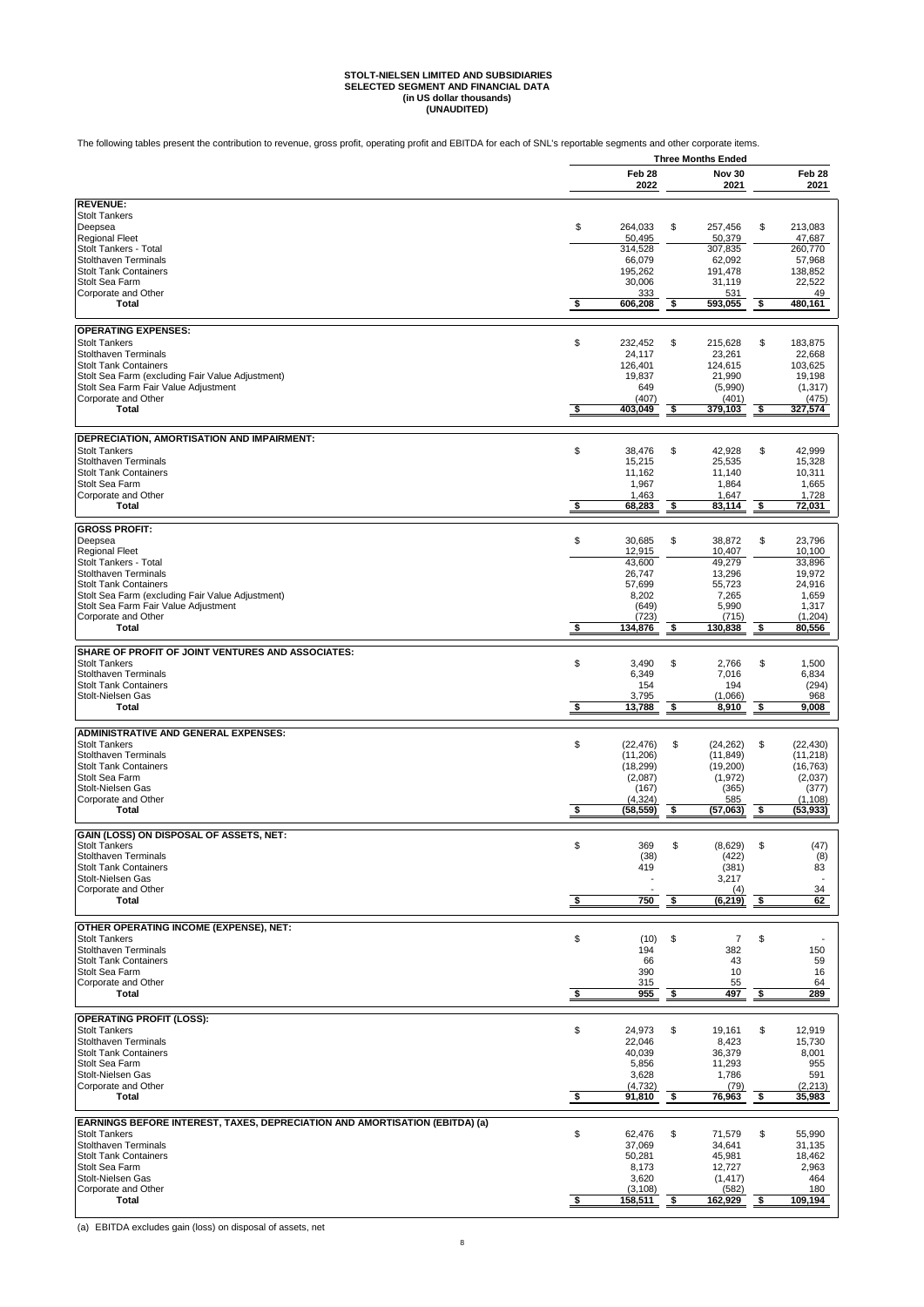# **STOLT-NIELSEN LIMITED AND SUBSIDIARIES SELECTED SEGMENT AND FINANCIAL DATA (in US dollar thousands) (UNAUDITED)**

The following tables present the contribution to revenue, gross profit, operating profit and EBITDA for each of SNL's reportable segments and other corporate items.

|                                                                                                     | <b>Three Months Ended</b> |                       |            |                        |            |                          |
|-----------------------------------------------------------------------------------------------------|---------------------------|-----------------------|------------|------------------------|------------|--------------------------|
|                                                                                                     |                           | Feb 28                |            | <b>Nov 30</b>          |            | Feb 28                   |
|                                                                                                     |                           | 2022                  |            | 2021                   |            | 2021                     |
| <b>REVENUE:</b>                                                                                     |                           |                       |            |                        |            |                          |
| <b>Stolt Tankers</b>                                                                                |                           |                       |            |                        |            |                          |
| Deepsea                                                                                             | \$                        | 264,033               | \$         | 257,456                | \$         | 213,083                  |
| <b>Regional Fleet</b><br>Stolt Tankers - Total                                                      |                           | 50,495<br>314,528     |            | 50,379<br>307,835      |            | 47,687<br>260,770        |
| <b>Stolthaven Terminals</b>                                                                         |                           | 66,079                |            | 62,092                 |            | 57,968                   |
| <b>Stolt Tank Containers</b>                                                                        |                           | 195,262               |            | 191,478                |            | 138,852                  |
| Stolt Sea Farm                                                                                      |                           | 30,006                |            | 31,119                 |            | 22,522                   |
| Corporate and Other<br>Total                                                                        | \$                        | 333<br>606,208        | - \$       | 531<br>593,055         | - \$       | 49<br>480,161            |
|                                                                                                     |                           |                       |            |                        |            |                          |
| <b>OPERATING EXPENSES:</b>                                                                          |                           |                       |            |                        |            |                          |
| <b>Stolt Tankers</b>                                                                                | \$                        | 232.452               | \$         | 215,628                | \$         | 183,875                  |
| <b>Stolthaven Terminals</b>                                                                         |                           | 24,117                |            | 23,261                 |            | 22,668                   |
| <b>Stolt Tank Containers</b>                                                                        |                           | 126,401               |            | 124,615                |            | 103,625                  |
| Stolt Sea Farm (excluding Fair Value Adjustment)<br>Stolt Sea Farm Fair Value Adjustment            |                           | 19,837<br>649         |            | 21,990<br>(5,990)      |            | 19,198<br>(1, 317)       |
| Corporate and Other                                                                                 |                           | (407)                 |            | (401)                  |            | (475)                    |
| Total                                                                                               | \$                        | 403,049               | \$         | 379,103                | \$         | 327,574                  |
|                                                                                                     |                           |                       |            |                        |            |                          |
| DEPRECIATION, AMORTISATION AND IMPAIRMENT:                                                          |                           |                       |            |                        |            |                          |
| <b>Stolt Tankers</b><br><b>Stolthaven Terminals</b>                                                 | \$                        | 38,476                | \$         | 42,928                 | \$         | 42,999                   |
| <b>Stolt Tank Containers</b>                                                                        |                           | 15,215<br>11,162      |            | 25,535<br>11,140       |            | 15,328<br>10,311         |
| Stolt Sea Farm                                                                                      |                           | 1,967                 |            | 1,864                  |            | 1,665                    |
| Corporate and Other                                                                                 |                           | 1,463                 |            | 1,647                  |            | 1,728                    |
| Total                                                                                               | \$                        | 68,283                | <u>_\$</u> | 83,114                 | <u>_\$</u> | 72,031                   |
| <b>GROSS PROFIT:</b>                                                                                |                           |                       |            |                        |            |                          |
| Deepsea                                                                                             | \$                        | 30,685                | \$         | 38,872                 | \$         | 23,796                   |
| <b>Regional Fleet</b>                                                                               |                           | 12,915                |            | 10,407                 |            | 10,100                   |
| Stolt Tankers - Total                                                                               |                           | 43,600                |            | 49,279                 |            | 33,896                   |
| <b>Stolthaven Terminals</b><br><b>Stolt Tank Containers</b>                                         |                           | 26,747<br>57,699      |            | 13,296<br>55,723       |            | 19,972<br>24,916         |
| Stolt Sea Farm (excluding Fair Value Adjustment)                                                    |                           | 8,202                 |            | 7,265                  |            | 1,659                    |
| Stolt Sea Farm Fair Value Adjustment                                                                |                           | (649)                 |            | 5,990                  |            | 1,317                    |
| Corporate and Other<br>Total                                                                        | \$                        | (723)                 |            | (715)                  |            | (1,204)<br>80,556        |
|                                                                                                     |                           | 134,876               | - \$       | 130,838 \$             |            |                          |
| SHARE OF PROFIT OF JOINT VENTURES AND ASSOCIATES:                                                   |                           |                       |            |                        |            |                          |
| <b>Stolt Tankers</b>                                                                                | \$                        | 3,490                 | \$         | 2,766                  | \$         | 1,500                    |
| <b>Stolthaven Terminals</b><br><b>Stolt Tank Containers</b>                                         |                           | 6,349<br>154          |            | 7,016<br>194           |            | 6,834<br>(294)           |
| Stolt-Nielsen Gas                                                                                   |                           | 3,795                 |            | (1,066)                |            | 968                      |
| <b>Total</b>                                                                                        | $\frac{1}{2}$             | 13,788                | \$         | 8,910                  | \$         | 9,008                    |
|                                                                                                     |                           |                       |            |                        |            |                          |
| <b>ADMINISTRATIVE AND GENERAL EXPENSES:</b>                                                         |                           |                       |            |                        |            |                          |
| <b>Stolt Tankers</b><br><b>Stolthaven Terminals</b>                                                 | \$                        | (22, 476)<br>(11.206) | \$         | (24, 262)<br>(11, 849) | \$         | (22, 430)<br>(11, 218)   |
| <b>Stolt Tank Containers</b>                                                                        |                           | (18, 299)             |            | (19,200)               |            | (16, 763)                |
| Stolt Sea Farm                                                                                      |                           | (2,087)               |            | (1, 972)               |            | (2,037)                  |
| Stolt-Nielsen Gas                                                                                   |                           | (167)<br>(4, 324)     |            | (365)<br>585           |            | (377)                    |
| Corporate and Other<br>Total                                                                        | \$                        | (58, 559)             | -\$        | (57,063)               | -\$        | (1, 108)<br>(53,933)     |
|                                                                                                     |                           |                       |            |                        |            |                          |
| GAIN (LOSS) ON DISPOSAL OF ASSETS, NET:                                                             |                           |                       |            |                        |            |                          |
| <b>Stolt Tankers</b><br><b>Stolthaven Terminals</b>                                                 | \$                        | 369<br>(38)           | \$         | (8,629)                | \$         | (47)<br>(8)              |
| <b>Stolt Tank Containers</b>                                                                        |                           | 419                   |            | (422)<br>(381)         |            | 83                       |
| Stolt-Nielsen Gas                                                                                   |                           |                       |            | 3,217                  |            | $\overline{\phantom{a}}$ |
| Corporate and Other                                                                                 |                           |                       |            | (4)                    |            | 34                       |
| Total                                                                                               | $\frac{1}{2}$             | 750                   | \$         | (6, 219)               | $\sqrt{2}$ | 62                       |
| OTHER OPERATING INCOME (EXPENSE), NET:                                                              |                           |                       |            |                        |            |                          |
| <b>Stolt Tankers</b>                                                                                |                           |                       |            |                        |            |                          |
|                                                                                                     |                           |                       |            |                        |            | 150                      |
| <b>Stolthaven Terminals</b>                                                                         | \$                        | (10)<br>194           | \$         | $\overline{7}$<br>382  | \$         |                          |
| <b>Stolt Tank Containers</b>                                                                        |                           | 66                    |            | 43                     |            | 59                       |
| Stolt Sea Farm                                                                                      |                           | 390                   |            | 10                     |            | 16                       |
| Corporate and Other<br><b>Total</b>                                                                 |                           | 315                   |            | 55                     |            | 64<br>289                |
|                                                                                                     | $\frac{1}{2}$             | 955                   | -\$        | 497                    | -\$        |                          |
| <b>OPERATING PROFIT (LOSS):</b>                                                                     |                           |                       |            |                        |            |                          |
| <b>Stolt Tankers</b>                                                                                | \$                        | 24,973                | \$         | 19,161                 | \$         | 12,919                   |
| <b>Stolthaven Terminals</b>                                                                         |                           | 22,046                |            | 8,423                  |            | 15,730                   |
| <b>Stolt Tank Containers</b><br>Stolt Sea Farm                                                      |                           | 40,039<br>5,856       |            | 36,379<br>11,293       |            | 8,001<br>955             |
| Stolt-Nielsen Gas                                                                                   |                           | 3,628                 |            | 1,786                  |            | 591                      |
| Corporate and Other                                                                                 |                           | (4,732)               |            | (79)                   |            | (2, 213)                 |
| <b>Total</b>                                                                                        | \$                        | 91,810                | -\$        | 76,963                 | \$         | 35,983                   |
|                                                                                                     |                           |                       |            |                        |            |                          |
| EARNINGS BEFORE INTEREST, TAXES, DEPRECIATION AND AMORTISATION (EBITDA) (a)<br><b>Stolt Tankers</b> | \$                        | 62,476                | \$         | 71,579                 | \$         | 55,990                   |
| <b>Stolthaven Terminals</b>                                                                         |                           | 37,069                |            | 34,641                 |            | 31,135                   |
| <b>Stolt Tank Containers</b>                                                                        |                           | 50,281                |            | 45,981                 |            | 18,462                   |
| Stolt Sea Farm<br>Stolt-Nielsen Gas                                                                 |                           | 8,173<br>3,620        |            | 12,727<br>(1, 417)     |            | 2,963<br>464             |
| Corporate and Other<br><b>Total</b>                                                                 | \$                        | (3, 108)<br>158,511   | \$         | (582)<br>162,929       | \$         | 180<br>109,194           |

(a) EBITDA excludes gain (loss) on disposal of assets, net